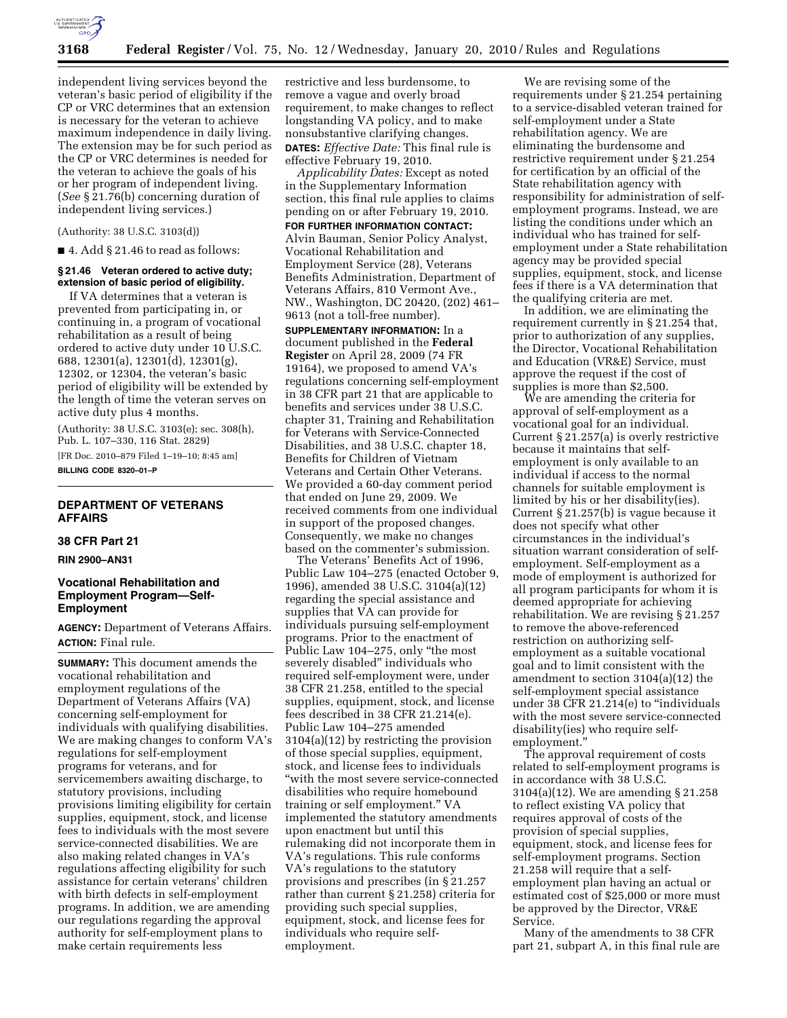

independent living services beyond the veteran's basic period of eligibility if the CP or VRC determines that an extension is necessary for the veteran to achieve maximum independence in daily living. The extension may be for such period as the CP or VRC determines is needed for the veteran to achieve the goals of his or her program of independent living. (*See* § 21.76(b) concerning duration of independent living services.)

(Authority: 38 U.S.C. 3103(d))

 $\blacksquare$  4. Add § 21.46 to read as follows:

# **§ 21.46 Veteran ordered to active duty; extension of basic period of eligibility.**

If VA determines that a veteran is prevented from participating in, or continuing in, a program of vocational rehabilitation as a result of being ordered to active duty under 10 U.S.C. 688, 12301(a), 12301(d), 12301(g), 12302, or 12304, the veteran's basic period of eligibility will be extended by the length of time the veteran serves on active duty plus 4 months.

(Authority: 38 U.S.C. 3103(e); sec. 308(h), Pub. L. 107–330, 116 Stat. 2829)

[FR Doc. 2010–879 Filed 1–19–10; 8:45 am] **BILLING CODE 8320–01–P** 

# **DEPARTMENT OF VETERANS AFFAIRS**

# **38 CFR Part 21**

# **RIN 2900–AN31**

# **Vocational Rehabilitation and Employment Program—Self-Employment**

**AGENCY:** Department of Veterans Affairs. **ACTION:** Final rule.

**SUMMARY:** This document amends the vocational rehabilitation and employment regulations of the Department of Veterans Affairs (VA) concerning self-employment for individuals with qualifying disabilities. We are making changes to conform VA's regulations for self-employment programs for veterans, and for servicemembers awaiting discharge, to statutory provisions, including provisions limiting eligibility for certain supplies, equipment, stock, and license fees to individuals with the most severe service-connected disabilities. We are also making related changes in VA's regulations affecting eligibility for such assistance for certain veterans' children with birth defects in self-employment programs. In addition, we are amending our regulations regarding the approval authority for self-employment plans to make certain requirements less

restrictive and less burdensome, to remove a vague and overly broad requirement, to make changes to reflect longstanding VA policy, and to make nonsubstantive clarifying changes. **DATES:** *Effective Date:* This final rule is effective February 19, 2010.

*Applicability Dates:* Except as noted in the Supplementary Information section, this final rule applies to claims pending on or after February 19, 2010.

**FOR FURTHER INFORMATION CONTACT:**  Alvin Bauman, Senior Policy Analyst, Vocational Rehabilitation and Employment Service (28), Veterans Benefits Administration, Department of Veterans Affairs, 810 Vermont Ave., NW., Washington, DC 20420, (202) 461– 9613 (not a toll-free number).

**SUPPLEMENTARY INFORMATION:** In a document published in the **Federal Register** on April 28, 2009 (74 FR 19164), we proposed to amend VA's regulations concerning self-employment in 38 CFR part 21 that are applicable to benefits and services under 38 U.S.C. chapter 31, Training and Rehabilitation for Veterans with Service-Connected Disabilities, and 38 U.S.C. chapter 18, Benefits for Children of Vietnam Veterans and Certain Other Veterans. We provided a 60-day comment period that ended on June 29, 2009. We received comments from one individual in support of the proposed changes. Consequently, we make no changes based on the commenter's submission.

The Veterans' Benefits Act of 1996, Public Law 104–275 (enacted October 9, 1996), amended 38 U.S.C. 3104(a)(12) regarding the special assistance and supplies that VA can provide for individuals pursuing self-employment programs. Prior to the enactment of Public Law 104–275, only ''the most severely disabled'' individuals who required self-employment were, under 38 CFR 21.258, entitled to the special supplies, equipment, stock, and license fees described in 38 CFR 21.214(e). Public Law 104–275 amended 3104(a)(12) by restricting the provision of those special supplies, equipment, stock, and license fees to individuals ''with the most severe service-connected disabilities who require homebound training or self employment.'' VA implemented the statutory amendments upon enactment but until this rulemaking did not incorporate them in VA's regulations. This rule conforms VA's regulations to the statutory provisions and prescribes (in § 21.257 rather than current § 21.258) criteria for providing such special supplies, equipment, stock, and license fees for individuals who require selfemployment.

We are revising some of the requirements under § 21.254 pertaining to a service-disabled veteran trained for self-employment under a State rehabilitation agency. We are eliminating the burdensome and restrictive requirement under § 21.254 for certification by an official of the State rehabilitation agency with responsibility for administration of selfemployment programs. Instead, we are listing the conditions under which an individual who has trained for selfemployment under a State rehabilitation agency may be provided special supplies, equipment, stock, and license fees if there is a VA determination that the qualifying criteria are met.

In addition, we are eliminating the requirement currently in § 21.254 that, prior to authorization of any supplies, the Director, Vocational Rehabilitation and Education (VR&E) Service, must approve the request if the cost of supplies is more than \$2,500.

We are amending the criteria for approval of self-employment as a vocational goal for an individual. Current § 21.257(a) is overly restrictive because it maintains that selfemployment is only available to an individual if access to the normal channels for suitable employment is limited by his or her disability(ies). Current § 21.257(b) is vague because it does not specify what other circumstances in the individual's situation warrant consideration of selfemployment. Self-employment as a mode of employment is authorized for all program participants for whom it is deemed appropriate for achieving rehabilitation. We are revising § 21.257 to remove the above-referenced restriction on authorizing selfemployment as a suitable vocational goal and to limit consistent with the amendment to section 3104(a)(12) the self-employment special assistance under 38 CFR 21.214(e) to ''individuals with the most severe service-connected disability(ies) who require selfemployment.''

The approval requirement of costs related to self-employment programs is in accordance with 38 U.S.C. 3104(a)(12). We are amending § 21.258 to reflect existing VA policy that requires approval of costs of the provision of special supplies, equipment, stock, and license fees for self-employment programs. Section 21.258 will require that a selfemployment plan having an actual or estimated cost of \$25,000 or more must be approved by the Director, VR&E Service.

Many of the amendments to 38 CFR part 21, subpart A, in this final rule are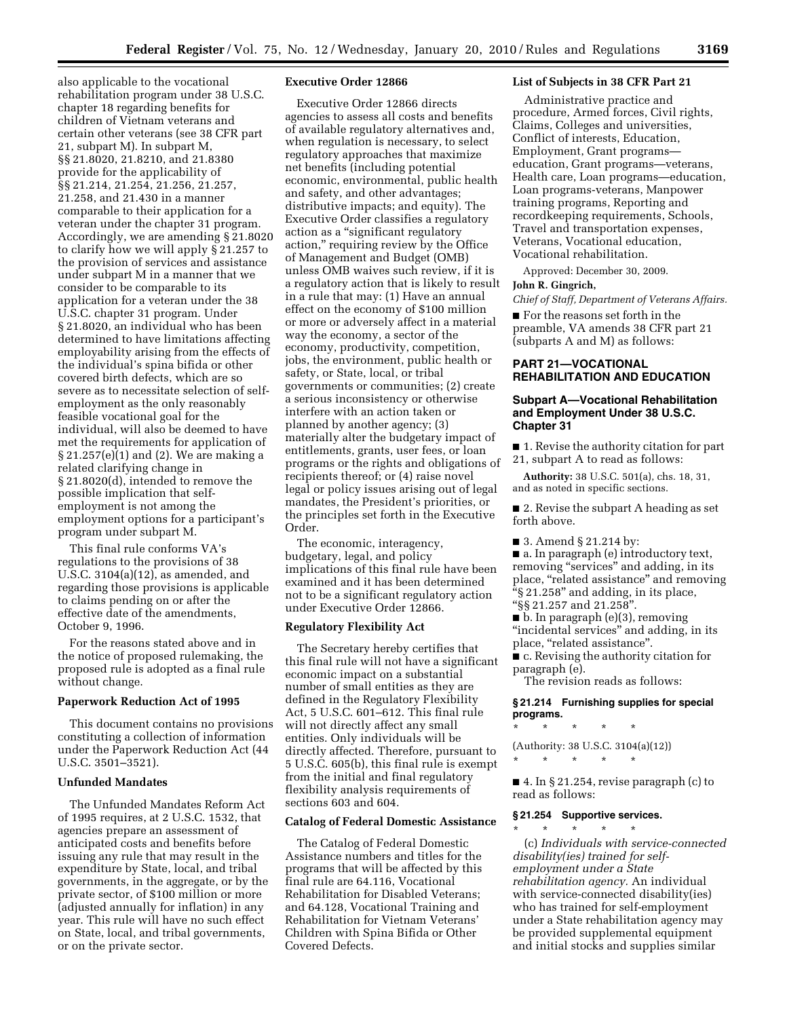also applicable to the vocational rehabilitation program under 38 U.S.C. chapter 18 regarding benefits for children of Vietnam veterans and certain other veterans (see 38 CFR part 21, subpart M). In subpart M, §§ 21.8020, 21.8210, and 21.8380 provide for the applicability of §§ 21.214, 21.254, 21.256, 21.257, 21.258, and 21.430 in a manner comparable to their application for a veteran under the chapter 31 program. Accordingly, we are amending § 21.8020 to clarify how we will apply § 21.257 to the provision of services and assistance under subpart M in a manner that we consider to be comparable to its application for a veteran under the 38 U.S.C. chapter 31 program. Under § 21.8020, an individual who has been determined to have limitations affecting employability arising from the effects of the individual's spina bifida or other covered birth defects, which are so severe as to necessitate selection of selfemployment as the only reasonably feasible vocational goal for the individual, will also be deemed to have met the requirements for application of § 21.257(e)(1) and (2). We are making a related clarifying change in § 21.8020(d), intended to remove the possible implication that selfemployment is not among the employment options for a participant's program under subpart M.

This final rule conforms VA's regulations to the provisions of 38 U.S.C. 3104(a)(12), as amended, and regarding those provisions is applicable to claims pending on or after the effective date of the amendments, October 9, 1996.

For the reasons stated above and in the notice of proposed rulemaking, the proposed rule is adopted as a final rule without change.

# **Paperwork Reduction Act of 1995**

This document contains no provisions constituting a collection of information under the Paperwork Reduction Act (44 U.S.C. 3501–3521).

### **Unfunded Mandates**

The Unfunded Mandates Reform Act of 1995 requires, at 2 U.S.C. 1532, that agencies prepare an assessment of anticipated costs and benefits before issuing any rule that may result in the expenditure by State, local, and tribal governments, in the aggregate, or by the private sector, of \$100 million or more (adjusted annually for inflation) in any year. This rule will have no such effect on State, local, and tribal governments, or on the private sector.

### **Executive Order 12866**

Executive Order 12866 directs agencies to assess all costs and benefits of available regulatory alternatives and, when regulation is necessary, to select regulatory approaches that maximize net benefits (including potential economic, environmental, public health and safety, and other advantages; distributive impacts; and equity). The Executive Order classifies a regulatory action as a ''significant regulatory action,'' requiring review by the Office of Management and Budget (OMB) unless OMB waives such review, if it is a regulatory action that is likely to result in a rule that may: (1) Have an annual effect on the economy of \$100 million or more or adversely affect in a material way the economy, a sector of the economy, productivity, competition, jobs, the environment, public health or safety, or State, local, or tribal governments or communities; (2) create a serious inconsistency or otherwise interfere with an action taken or planned by another agency; (3) materially alter the budgetary impact of entitlements, grants, user fees, or loan programs or the rights and obligations of recipients thereof; or (4) raise novel legal or policy issues arising out of legal mandates, the President's priorities, or the principles set forth in the Executive Order.

The economic, interagency, budgetary, legal, and policy implications of this final rule have been examined and it has been determined not to be a significant regulatory action under Executive Order 12866.

### **Regulatory Flexibility Act**

The Secretary hereby certifies that this final rule will not have a significant economic impact on a substantial number of small entities as they are defined in the Regulatory Flexibility Act, 5 U.S.C. 601–612. This final rule will not directly affect any small entities. Only individuals will be directly affected. Therefore, pursuant to 5 U.S.C. 605(b), this final rule is exempt from the initial and final regulatory flexibility analysis requirements of sections 603 and 604.

### **Catalog of Federal Domestic Assistance**

The Catalog of Federal Domestic Assistance numbers and titles for the programs that will be affected by this final rule are 64.116, Vocational Rehabilitation for Disabled Veterans; and 64.128, Vocational Training and Rehabilitation for Vietnam Veterans' Children with Spina Bifida or Other Covered Defects.

# **List of Subjects in 38 CFR Part 21**

Administrative practice and procedure, Armed forces, Civil rights, Claims, Colleges and universities, Conflict of interests, Education, Employment, Grant programs education, Grant programs—veterans, Health care, Loan programs—education, Loan programs-veterans, Manpower training programs, Reporting and recordkeeping requirements, Schools, Travel and transportation expenses, Veterans, Vocational education, Vocational rehabilitation.

Approved: December 30, 2009.

#### **John R. Gingrich,**

*Chief of Staff, Department of Veterans Affairs.* 

■ For the reasons set forth in the preamble, VA amends 38 CFR part 21 (subparts A and M) as follows:

# **PART 21—VOCATIONAL REHABILITATION AND EDUCATION**

### **Subpart A—Vocational Rehabilitation and Employment Under 38 U.S.C. Chapter 31**

■ 1. Revise the authority citation for part 21, subpart A to read as follows:

**Authority:** 38 U.S.C. 501(a), chs. 18, 31, and as noted in specific sections.

■ 2. Revise the subpart A heading as set forth above.

■ 3. Amend § 21.214 by:

■ a. In paragraph (e) introductory text, removing "services" and adding, in its place, "related assistance" and removing  $\cdot$ § 21.258" and adding, in its place, ''§§ 21.257 and 21.258''.

■ b. In paragraph (e)(3), removing ''incidental services'' and adding, in its place, "related assistance".

■ c. Revising the authority citation for paragraph (e).

The revision reads as follows:

# **§ 21.214 Furnishing supplies for special programs.**

\* \* \* \* \*

(Authority: 38 U.S.C. 3104(a)(12)) \* \* \* \* \*

■ 4. In § 21.254, revise paragraph (c) to read as follows:

# **§ 21.254 Supportive services.**

\* \* \* \* \* (c) *Individuals with service-connected disability(ies) trained for selfemployment under a State rehabilitation agency.* An individual with service-connected disability(ies) who has trained for self-employment under a State rehabilitation agency may be provided supplemental equipment and initial stocks and supplies similar